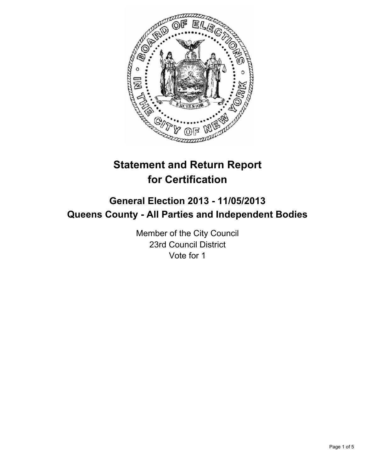

# **Statement and Return Report for Certification**

## **General Election 2013 - 11/05/2013 Queens County - All Parties and Independent Bodies**

Member of the City Council 23rd Council District Vote for 1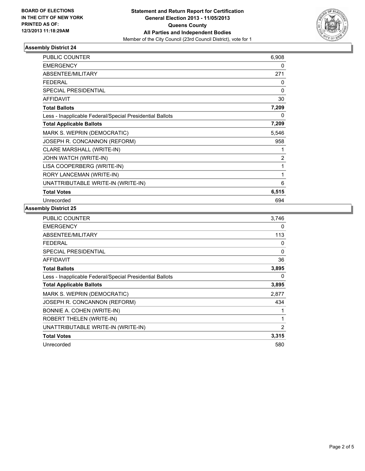

## **Assembly District 24**

| <b>PUBLIC COUNTER</b>                                    | 6,908          |
|----------------------------------------------------------|----------------|
| <b>EMERGENCY</b>                                         | 0              |
| ABSENTEE/MILITARY                                        | 271            |
| <b>FEDERAL</b>                                           | 0              |
| <b>SPECIAL PRESIDENTIAL</b>                              | 0              |
| <b>AFFIDAVIT</b>                                         | 30             |
| <b>Total Ballots</b>                                     | 7,209          |
| Less - Inapplicable Federal/Special Presidential Ballots | 0              |
| <b>Total Applicable Ballots</b>                          | 7,209          |
| MARK S. WEPRIN (DEMOCRATIC)                              | 5,546          |
| JOSEPH R. CONCANNON (REFORM)                             | 958            |
| CLARE MARSHALL (WRITE-IN)                                | 1              |
| JOHN WATCH (WRITE-IN)                                    | $\overline{2}$ |
| LISA COOPERBERG (WRITE-IN)                               | 1              |
| RORY LANCEMAN (WRITE-IN)                                 | 1              |
| UNATTRIBUTABLE WRITE-IN (WRITE-IN)                       | 6              |
| <b>Total Votes</b>                                       | 6,515          |
| Unrecorded                                               | 694            |

#### **Assembly District 25**

| <b>PUBLIC COUNTER</b>                                    | 3,746    |
|----------------------------------------------------------|----------|
| <b>EMERGENCY</b>                                         | 0        |
| ABSENTEE/MILITARY                                        | 113      |
| <b>FEDERAL</b>                                           | 0        |
| <b>SPECIAL PRESIDENTIAL</b>                              | $\Omega$ |
| AFFIDAVIT                                                | 36       |
| <b>Total Ballots</b>                                     | 3,895    |
| Less - Inapplicable Federal/Special Presidential Ballots | 0        |
| <b>Total Applicable Ballots</b>                          | 3,895    |
| MARK S. WEPRIN (DEMOCRATIC)                              | 2,877    |
| JOSEPH R. CONCANNON (REFORM)                             | 434      |
| BONNIE A. COHEN (WRITE-IN)                               |          |
| ROBERT THELEN (WRITE-IN)                                 | 1        |
| UNATTRIBUTABLE WRITE-IN (WRITE-IN)                       | 2        |
| <b>Total Votes</b>                                       | 3,315    |
| Unrecorded                                               | 580      |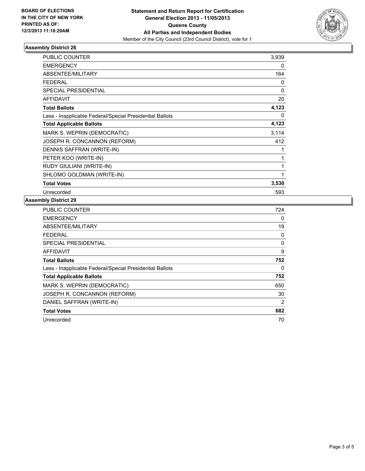

## **Assembly District 26**

| <b>PUBLIC COUNTER</b>                                    | 3,939 |
|----------------------------------------------------------|-------|
| <b>EMERGENCY</b>                                         | 0     |
| <b>ABSENTEE/MILITARY</b>                                 | 164   |
| <b>FEDERAL</b>                                           | 0     |
| <b>SPECIAL PRESIDENTIAL</b>                              | 0     |
| <b>AFFIDAVIT</b>                                         | 20    |
| <b>Total Ballots</b>                                     | 4,123 |
| Less - Inapplicable Federal/Special Presidential Ballots | 0     |
| <b>Total Applicable Ballots</b>                          | 4,123 |
| MARK S. WEPRIN (DEMOCRATIC)                              | 3,114 |
| JOSEPH R. CONCANNON (REFORM)                             | 412   |
| DENNIS SAFFRAN (WRITE-IN)                                | 1     |
| PETER KOO (WRITE-IN)                                     | 1     |
| RUDY GIULIANI (WRITE-IN)                                 | 1     |
| SHLOMO GOLDMAN (WRITE-IN)                                | 1     |
| <b>Total Votes</b>                                       | 3,530 |
| Unrecorded                                               | 593   |

## **Assembly District 29**

| <b>PUBLIC COUNTER</b>                                    | 724            |
|----------------------------------------------------------|----------------|
| <b>EMERGENCY</b>                                         | 0              |
| ABSENTEE/MILITARY                                        | 19             |
| FEDERAL                                                  | 0              |
| <b>SPECIAL PRESIDENTIAL</b>                              | 0              |
| AFFIDAVIT                                                | 9              |
| <b>Total Ballots</b>                                     | 752            |
| Less - Inapplicable Federal/Special Presidential Ballots | 0              |
| <b>Total Applicable Ballots</b>                          | 752            |
| MARK S. WEPRIN (DEMOCRATIC)                              | 650            |
| JOSEPH R. CONCANNON (REFORM)                             | 30             |
| DANIEL SAFFRAN (WRITE-IN)                                | $\overline{2}$ |
| <b>Total Votes</b>                                       | 682            |
| Unrecorded                                               | 70             |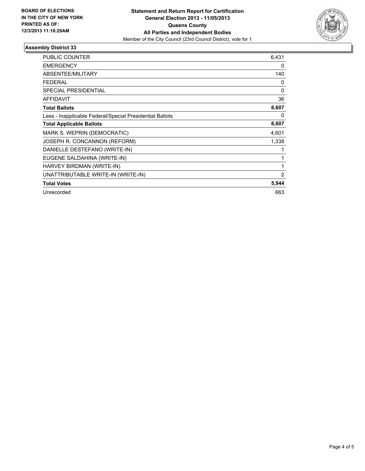

## **Assembly District 33**

| <b>PUBLIC COUNTER</b>                                    | 6,431          |
|----------------------------------------------------------|----------------|
| <b>EMERGENCY</b>                                         | 0              |
| <b>ABSENTEE/MILITARY</b>                                 | 140            |
| <b>FEDERAL</b>                                           | 0              |
| SPECIAL PRESIDENTIAL                                     | $\Omega$       |
| <b>AFFIDAVIT</b>                                         | 36             |
| <b>Total Ballots</b>                                     | 6,607          |
| Less - Inapplicable Federal/Special Presidential Ballots | 0              |
| <b>Total Applicable Ballots</b>                          | 6,607          |
| MARK S. WEPRIN (DEMOCRATIC)                              | 4,601          |
| JOSEPH R. CONCANNON (REFORM)                             | 1,338          |
| DANIELLE DESTEFANO (WRITE-IN)                            |                |
| EUGENE SALDAHINA (WRITE-IN)                              |                |
| HARVEY BIRDMAN (WRITE-IN)                                | 1              |
| UNATTRIBUTABLE WRITE-IN (WRITE-IN)                       | $\overline{2}$ |
| <b>Total Votes</b>                                       | 5,944          |
| Unrecorded                                               | 663            |